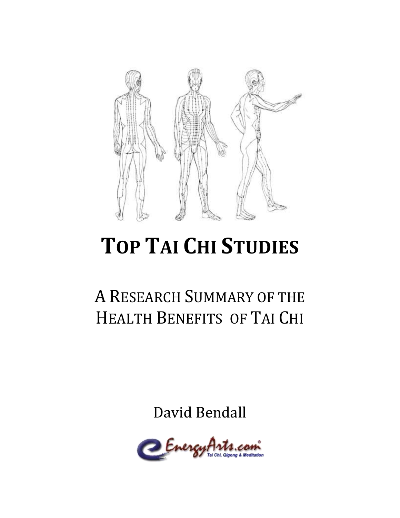

# **TOP TAI CHI STUDIES**

## A RESEARCH SUMMARY OF THE HEALTH BENEFITS OF TAI CHI

David Bendall

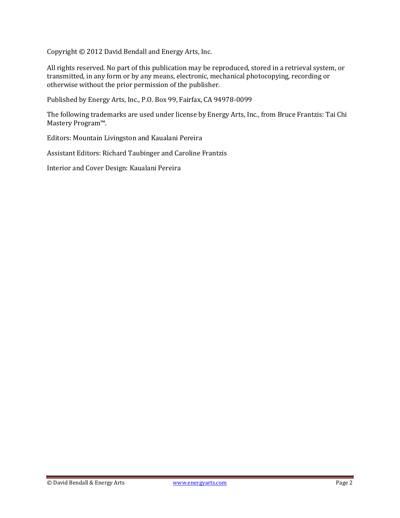Copyright © 2012 David Bendall and Energy Arts, Inc.

All rights reserved. No part of this publication may be reproduced, stored in a retrieval system, or transmitted, in any form or by any means, electronic, mechanical photocopying, recording or otherwise without the prior permission of the publisher.

Published by Energy Arts, Inc., P.O. Box 99, Fairfax, CA 94978-0099

The following trademarks are used under license by Energy Arts, Inc., from Bruce Frantzis: Tai Chi Mastery Program™.

Editors: Mountain Livingston and Kaualani Pereira

Assistant Editors: Richard Taubinger and Caroline Frantzis

Interior and Cover Design: Kaualani Pereira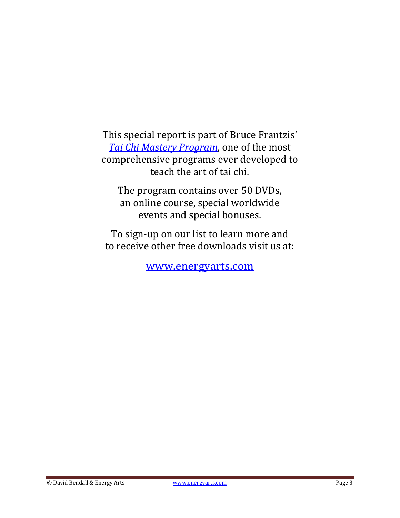This special report is part of Bruce Frantzis' *[Tai Chi Mastery Program](http://www.energyarts.com/offer/tai-chi-mastery-program)*, one of the most comprehensive programs ever developed to teach the art of tai chi.

The program contains over 50 DVDs, an online course, special worldwide events and special bonuses.

To sign-up on our list to learn more and to receive other free downloads visit us at:

<www.energyarts.com>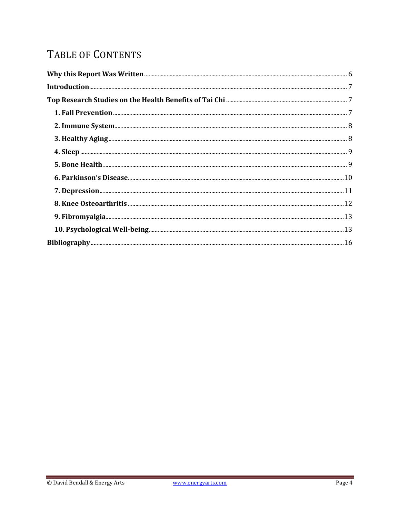## TABLE OF CONTENTS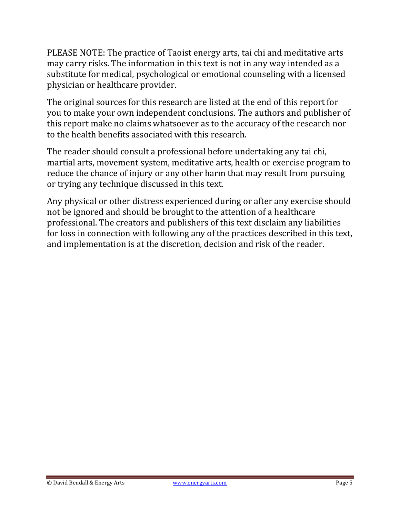PLEASE NOTE: The practice of Taoist energy arts, tai chi and meditative arts may carry risks. The information in this text is not in any way intended as a substitute for medical, psychological or emotional counseling with a licensed physician or healthcare provider.

The original sources for this research are listed at the end of this report for you to make your own independent conclusions. The authors and publisher of this report make no claims whatsoever as to the accuracy of the research nor to the health benefits associated with this research.

The reader should consult a professional before undertaking any tai chi, martial arts, movement system, meditative arts, health or exercise program to reduce the chance of injury or any other harm that may result from pursuing or trying any technique discussed in this text.

Any physical or other distress experienced during or after any exercise should not be ignored and should be brought to the attention of a healthcare professional. The creators and publishers of this text disclaim any liabilities for loss in connection with following any of the practices described in this text, and implementation is at the discretion, decision and risk of the reader.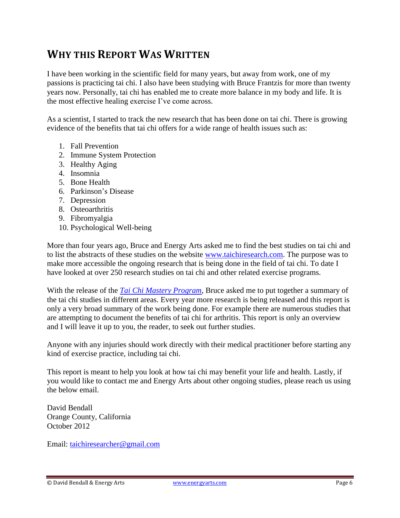## <span id="page-5-0"></span>**WHY THIS REPORT WAS WRITTEN**

I have been working in the scientific field for many years, but away from work, one of my passions is practicing tai chi. I also have been studying with Bruce Frantzis for more than twenty years now. Personally, tai chi has enabled me to create more balance in my body and life. It is the most effective healing exercise I've come across.

As a scientist, I started to track the new research that has been done on tai chi. There is growing evidence of the benefits that tai chi offers for a wide range of health issues such as:

- 1. Fall Prevention
- 2. Immune System Protection
- 3. Healthy Aging
- 4. Insomnia
- 5. Bone Health
- 6. Parkinson's Disease
- 7. Depression
- 8. Osteoarthritis
- 9. Fibromyalgia
- 10. Psychological Well-being

More than four years ago, Bruce and Energy Arts asked me to find the best studies on tai chi and to list the abstracts of these studies on the website [www.taichiresearch.com.](http://www.taichiresearch.com/) The purpose was to make more accessible the ongoing research that is being done in the field of tai chi. To date I have looked at over 250 research studies on tai chi and other related exercise programs.

With the release of the *[Tai Chi Mastery Program](http://www.energyarts.com/offer/tai-chi-mastery-program)*, Bruce asked me to put together a summary of the tai chi studies in different areas. Every year more research is being released and this report is only a very broad summary of the work being done. For example there are numerous studies that are attempting to document the benefits of tai chi for arthritis. This report is only an overview and I will leave it up to you, the reader, to seek out further studies.

Anyone with any injuries should work directly with their medical practitioner before starting any kind of exercise practice, including tai chi.

This report is meant to help you look at how tai chi may benefit your life and health. Lastly, if you would like to contact me and Energy Arts about other ongoing studies, please reach us using the below email.

David Bendall Orange County, California October 2012

Email: [taichiresearcher@gmail.com](mailto:taichiresearcher@gmail.com)

© David Bendall & Energy Arts [www.energyarts.com](http://www.energyarts.com/) Page 6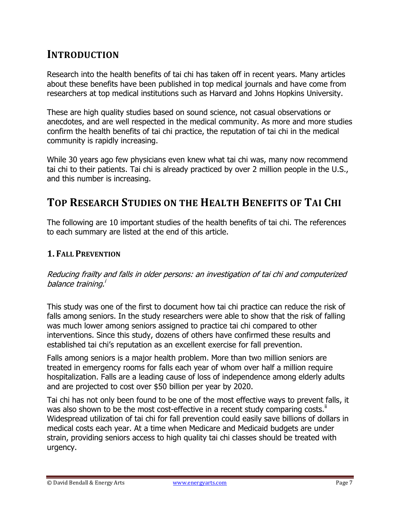### <span id="page-6-0"></span>**INTRODUCTION**

Research into the health benefits of tai chi has taken off in recent years. Many articles about these benefits have been published in top medical journals and have come from researchers at top medical institutions such as Harvard and Johns Hopkins University.

These are high quality studies based on sound science, not casual observations or anecdotes, and are well respected in the medical community. As more and more studies confirm the health benefits of tai chi practice, the reputation of tai chi in the medical community is rapidly increasing.

While 30 years ago few physicians even knew what tai chi was, many now recommend tai chi to their patients. Tai chi is already practiced by over 2 million people in the U.S., and this number is increasing.

## <span id="page-6-1"></span>**TOP RESEARCH STUDIES ON THE HEALTH BENEFITS OF TAI CHI**

The following are 10 important studies of the health benefits of tai chi. The references to each summary are listed at the end of this article.

#### <span id="page-6-2"></span>**1. FALL PREVENTION**

Reducing frailty and falls in older persons: an investigation of tai chi and computerized balance training.<sup>'</sup>

This study was one of the first to document how tai chi practice can reduce the risk of falls among seniors. In the study researchers were able to show that the risk of falling was much lower among seniors assigned to practice tai chi compared to other interventions. Since this study, dozens of others have confirmed these results and established tai chi's reputation as an excellent exercise for fall prevention.

Falls among seniors is a major health problem. More than two million seniors are treated in emergency rooms for falls each year of whom over half a million require hospitalization. Falls are a leading cause of loss of independence among elderly adults and are projected to cost over \$50 billion per year by 2020.

Tai chi has not only been found to be one of the most effective ways to prevent falls, it was also shown to be the most cost-effective in a recent study comparing costs.<sup>ii</sup> Widespread utilization of tai chi for fall prevention could easily save billions of dollars in medical costs each year. At a time when Medicare and Medicaid budgets are under strain, providing seniors access to high quality tai chi classes should be treated with urgency.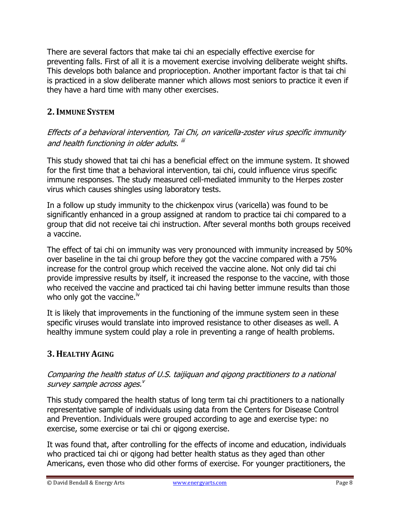There are several factors that make tai chi an especially effective exercise for preventing falls. First of all it is a movement exercise involving deliberate weight shifts. This develops both balance and proprioception. Another important factor is that tai chi is practiced in a slow deliberate manner which allows most seniors to practice it even if they have a hard time with many other exercises.

#### <span id="page-7-0"></span>**2.IMMUNE SYSTEM**

Effects of a behavioral intervention, Tai Chi, on varicella-zoster virus specific immunity and health functioning in older adults. <sup>iii</sup>

This study showed that tai chi has a beneficial effect on the immune system. It showed for the first time that a behavioral intervention, tai chi, could influence virus specific immune responses. The study measured cell-mediated immunity to the Herpes zoster virus which causes shingles using laboratory tests.

In a follow up study immunity to the chickenpox virus (varicella) was found to be significantly enhanced in a group assigned at random to practice tai chi compared to a group that did not receive tai chi instruction. After several months both groups received a vaccine.

The effect of tai chi on immunity was very pronounced with immunity increased by 50% over baseline in the tai chi group before they got the vaccine compared with a 75% increase for the control group which received the vaccine alone. Not only did tai chi provide impressive results by itself, it increased the response to the vaccine, with those who received the vaccine and practiced tai chi having better immune results than those who only got the vaccine.<sup>iv</sup>

It is likely that improvements in the functioning of the immune system seen in these specific viruses would translate into improved resistance to other diseases as well. A healthy immune system could play a role in preventing a range of health problems.

#### <span id="page-7-1"></span>**3. HEALTHY AGING**

#### Comparing the health status of U.S. taijiquan and qigong practitioners to a national survey sample across ages."

This study compared the health status of long term tai chi practitioners to a nationally representative sample of individuals using data from the Centers for Disease Control and Prevention. Individuals were grouped according to age and exercise type: no exercise, some exercise or tai chi or qigong exercise.

It was found that, after controlling for the effects of income and education, individuals who practiced tai chi or qigong had better health status as they aged than other Americans, even those who did other forms of exercise. For younger practitioners, the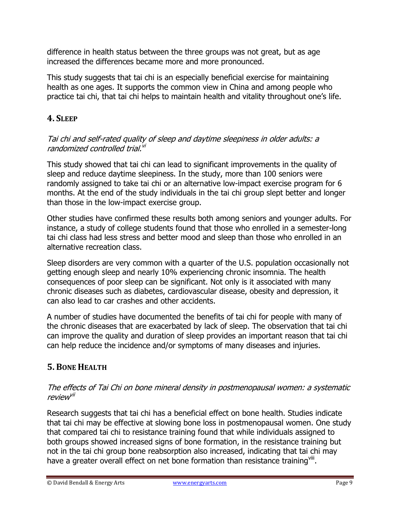difference in health status between the three groups was not great, but as age increased the differences became more and more pronounced.

This study suggests that tai chi is an especially beneficial exercise for maintaining health as one ages. It supports the common view in China and among people who practice tai chi, that tai chi helps to maintain health and vitality throughout one's life.

#### <span id="page-8-0"></span>**4. SLEEP**

#### Tai chi and self-rated quality of sleep and daytime sleepiness in older adults: a randomized controlled trial.<sup>vi</sup>

This study showed that tai chi can lead to significant improvements in the quality of sleep and reduce daytime sleepiness. In the study, more than 100 seniors were randomly assigned to take tai chi or an alternative low-impact exercise program for 6 months. At the end of the study individuals in the tai chi group slept better and longer than those in the low-impact exercise group.

Other studies have confirmed these results both among seniors and younger adults. For instance, a study of college students found that those who enrolled in a semester-long tai chi class had less stress and better mood and sleep than those who enrolled in an alternative recreation class.

Sleep disorders are very common with a quarter of the U.S. population occasionally not getting enough sleep and nearly 10% experiencing chronic insomnia. The health consequences of poor sleep can be significant. Not only is it associated with many chronic diseases such as diabetes, cardiovascular disease, obesity and depression, it can also lead to car crashes and other accidents.

A number of studies have documented the benefits of tai chi for people with many of the chronic diseases that are exacerbated by lack of sleep. The observation that tai chi can improve the quality and duration of sleep provides an important reason that tai chi can help reduce the incidence and/or symptoms of many diseases and injuries.

#### <span id="page-8-1"></span>**5. BONE HEALTH**

#### The effects of Tai Chi on bone mineral density in postmenopausal women: a systematic review<sup>vii</sup>

Research suggests that tai chi has a beneficial effect on bone health. Studies indicate that tai chi may be effective at slowing bone loss in postmenopausal women. One study that compared tai chi to resistance training found that while individuals assigned to both groups showed increased signs of bone formation, in the resistance training but not in the tai chi group bone reabsorption also increased, indicating that tai chi may have a greater overall effect on net bone formation than resistance training<sup>viii</sup>.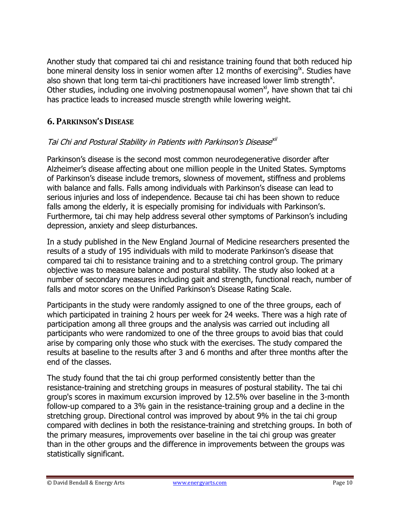Another study that compared tai chi and resistance training found that both reduced hip bone mineral density loss in senior women after 12 months of exercising<sup>ix</sup>. Studies have also shown that long term tai-chi practitioners have increased lower limb strength<sup>x</sup>. Other studies, including one involving postmenopausal women<sup>xi</sup>, have shown that tai chi has practice leads to increased muscle strength while lowering weight.

#### <span id="page-9-0"></span>**6. PARKINSON'S DISEASE**

#### Tai Chi and Postural Stability in Patients with Parkinson's Disease<sup>xii</sup>

Parkinson's disease is the second most common neurodegenerative disorder after Alzheimer's disease affecting about one million people in the United States. Symptoms of Parkinson's disease include tremors, slowness of movement, stiffness and problems with balance and falls. Falls among individuals with Parkinson's disease can lead to serious injuries and loss of independence. Because tai chi has been shown to reduce falls among the elderly, it is especially promising for individuals with Parkinson's. Furthermore, tai chi may help address several other symptoms of Parkinson's including depression, anxiety and sleep disturbances.

In a study published in the New England Journal of Medicine researchers presented the results of a study of 195 individuals with mild to moderate Parkinson's disease that compared tai chi to resistance training and to a stretching control group. The primary objective was to measure balance and postural stability. The study also looked at a number of secondary measures including gait and strength, functional reach, number of falls and motor scores on the Unified Parkinson's Disease Rating Scale.

Participants in the study were randomly assigned to one of the three groups, each of which participated in training 2 hours per week for 24 weeks. There was a high rate of participation among all three groups and the analysis was carried out including all participants who were randomized to one of the three groups to avoid bias that could arise by comparing only those who stuck with the exercises. The study compared the results at baseline to the results after 3 and 6 months and after three months after the end of the classes.

The study found that the tai chi group performed consistently better than the resistance-training and stretching groups in measures of postural stability. The tai chi group's scores in maximum excursion improved by 12.5% over baseline in the 3-month follow-up compared to a 3% gain in the resistance-training group and a decline in the stretching group. Directional control was improved by about 9% in the tai chi group compared with declines in both the resistance-training and stretching groups. In both of the primary measures, improvements over baseline in the tai chi group was greater than in the other groups and the difference in improvements between the groups was statistically significant.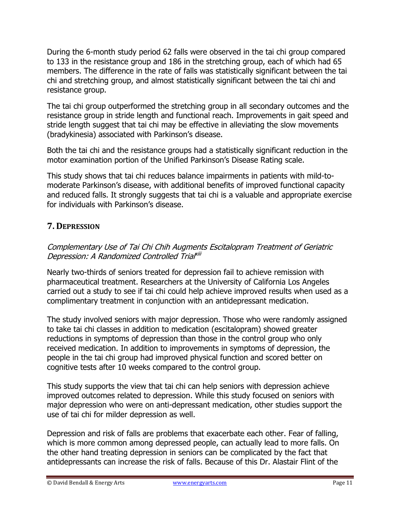During the 6-month study period 62 falls were observed in the tai chi group compared to 133 in the resistance group and 186 in the stretching group, each of which had 65 members. The difference in the rate of falls was statistically significant between the tai chi and stretching group, and almost statistically significant between the tai chi and resistance group.

The tai chi group outperformed the stretching group in all secondary outcomes and the resistance group in stride length and functional reach. Improvements in gait speed and stride length suggest that tai chi may be effective in alleviating the slow movements (bradykinesia) associated with Parkinson's disease.

Both the tai chi and the resistance groups had a statistically significant reduction in the motor examination portion of the Unified Parkinson's Disease Rating scale.

This study shows that tai chi reduces balance impairments in patients with mild-tomoderate Parkinson's disease, with additional benefits of improved functional capacity and reduced falls. It strongly suggests that tai chi is a valuable and appropriate exercise for individuals with Parkinson's disease.

#### <span id="page-10-0"></span>**7. DEPRESSION**

#### Complementary Use of Tai Chi Chih Augments Escitalopram Treatment of Geriatric Depression: A Randomized Controlled Trial<sup>xiii</sup>

Nearly two-thirds of seniors treated for depression fail to achieve remission with pharmaceutical treatment. Researchers at the University of California Los Angeles carried out a study to see if tai chi could help achieve improved results when used as a complimentary treatment in conjunction with an antidepressant medication.

The study involved seniors with major depression. Those who were randomly assigned to take tai chi classes in addition to medication (escitalopram) showed greater reductions in symptoms of depression than those in the control group who only received medication. In addition to improvements in symptoms of depression, the people in the tai chi group had improved physical function and scored better on cognitive tests after 10 weeks compared to the control group.

This study supports the view that tai chi can help seniors with depression achieve improved outcomes related to depression. While this study focused on seniors with major depression who were on anti-depressant medication, other studies support the use of tai chi for milder depression as well.

Depression and risk of falls are problems that exacerbate each other. Fear of falling, which is more common among depressed people, can actually lead to more falls. On the other hand treating depression in seniors can be complicated by the fact that antidepressants can increase the risk of falls. Because of this Dr. Alastair Flint of the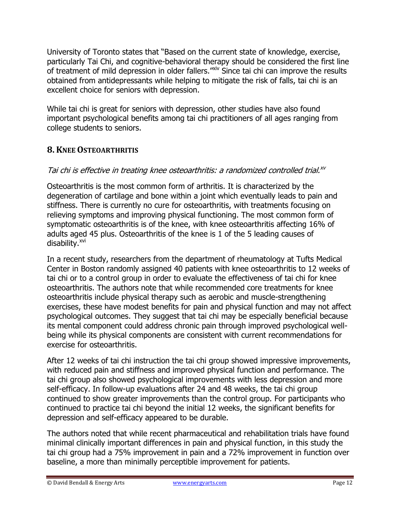University of Toronto states that "Based on the current state of knowledge, exercise, particularly Tai Chi, and cognitive-behavioral therapy should be considered the first line of treatment of mild depression in older fallers."<sup>Xiv</sup> Since tai chi can improve the results obtained from antidepressants while helping to mitigate the risk of falls, tai chi is an excellent choice for seniors with depression.

While tai chi is great for seniors with depression, other studies have also found important psychological benefits among tai chi practitioners of all ages ranging from college students to seniors.

#### <span id="page-11-0"></span>**8.KNEE OSTEOARTHRITIS**

#### Tai chi is effective in treating knee osteoarthritis: a randomized controlled trial.<sup>xv</sup>

Osteoarthritis is the most common form of arthritis. It is characterized by the degeneration of cartilage and bone within a joint which eventually leads to pain and stiffness. There is currently no cure for osteoarthritis, with treatments focusing on relieving symptoms and improving physical functioning. The most common form of symptomatic osteoarthritis is of the knee, with knee osteoarthritis affecting 16% of adults aged 45 plus. Osteoarthritis of the knee is 1 of the 5 leading causes of disability.<sup>xvi</sup>

In a recent study, researchers from the department of rheumatology at Tufts Medical Center in Boston randomly assigned 40 patients with knee osteoarthritis to 12 weeks of tai chi or to a control group in order to evaluate the effectiveness of tai chi for knee osteoarthritis. The authors note that while recommended core treatments for knee osteoarthritis include physical therapy such as aerobic and muscle-strengthening exercises, these have modest benefits for pain and physical function and may not affect psychological outcomes. They suggest that tai chi may be especially beneficial because its mental component could address chronic pain through improved psychological wellbeing while its physical components are consistent with current recommendations for exercise for osteoarthritis.

After 12 weeks of tai chi instruction the tai chi group showed impressive improvements, with reduced pain and stiffness and improved physical function and performance. The tai chi group also showed psychological improvements with less depression and more self-efficacy. In follow-up evaluations after 24 and 48 weeks, the tai chi group continued to show greater improvements than the control group. For participants who continued to practice tai chi beyond the initial 12 weeks, the significant benefits for depression and self-efficacy appeared to be durable.

The authors noted that while recent pharmaceutical and rehabilitation trials have found minimal clinically important differences in pain and physical function, in this study the tai chi group had a 75% improvement in pain and a 72% improvement in function over baseline, a more than minimally perceptible improvement for patients.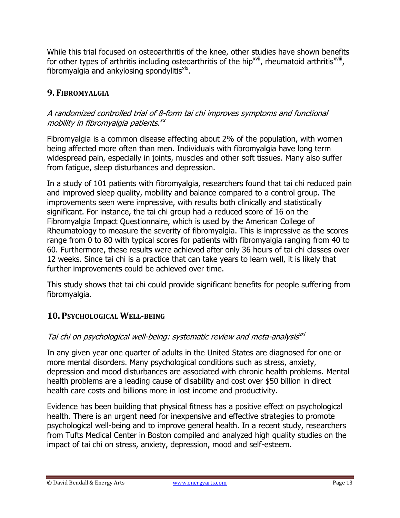While this trial focused on osteoarthritis of the knee, other studies have shown benefits for other types of arthritis including osteoarthritis of the hip<sup>xvii</sup>, rheumatoid arthritis<sup>xviii</sup>, fibromyalgia and ankylosing spondylitis<sup>xix</sup>.

#### <span id="page-12-0"></span>**9. FIBROMYALGIA**

#### A randomized controlled trial of 8-form tai chi improves symptoms and functional mobility in fibromyalgia patients.<sup>xx</sup>

Fibromyalgia is a common disease affecting about 2% of the population, with women being affected more often than men. Individuals with fibromyalgia have long term widespread pain, especially in joints, muscles and other soft tissues. Many also suffer from fatigue, sleep disturbances and depression.

In a study of 101 patients with fibromyalgia, researchers found that tai chi reduced pain and improved sleep quality, mobility and balance compared to a control group. The improvements seen were impressive, with results both clinically and statistically significant. For instance, the tai chi group had a reduced score of 16 on the Fibromyalgia Impact Questionnaire, which is used by the American College of Rheumatology to measure the severity of fibromyalgia. This is impressive as the scores range from 0 to 80 with typical scores for patients with fibromyalgia ranging from 40 to 60. Furthermore, these results were achieved after only 36 hours of tai chi classes over 12 weeks. Since tai chi is a practice that can take years to learn well, it is likely that further improvements could be achieved over time.

This study shows that tai chi could provide significant benefits for people suffering from fibromyalgia.

#### <span id="page-12-1"></span>**10. PSYCHOLOGICAL WELL-BEING**

#### Tai chi on psychological well-being: systematic review and meta-analysis<sup>xxi</sup>

In any given year one quarter of adults in the United States are diagnosed for one or more mental disorders. Many psychological conditions such as stress, anxiety, depression and mood disturbances are associated with chronic health problems. Mental health problems are a leading cause of disability and cost over \$50 billion in direct health care costs and billions more in lost income and productivity.

Evidence has been building that physical fitness has a positive effect on psychological health. There is an urgent need for inexpensive and effective strategies to promote psychological well-being and to improve general health. In a recent study, researchers from Tufts Medical Center in Boston compiled and analyzed high quality studies on the impact of tai chi on stress, anxiety, depression, mood and self-esteem.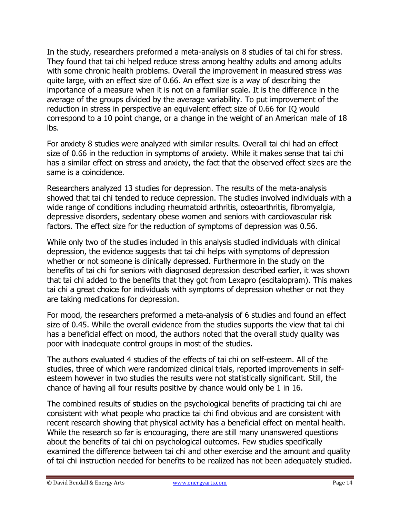In the study, researchers preformed a meta-analysis on 8 studies of tai chi for stress. They found that tai chi helped reduce stress among healthy adults and among adults with some chronic health problems. Overall the improvement in measured stress was quite large, with an effect size of 0.66. An effect size is a way of describing the importance of a measure when it is not on a familiar scale. It is the difference in the average of the groups divided by the average variability. To put improvement of the reduction in stress in perspective an equivalent effect size of 0.66 for IQ would correspond to a 10 point change, or a change in the weight of an American male of 18 lbs.

For anxiety 8 studies were analyzed with similar results. Overall tai chi had an effect size of 0.66 in the reduction in symptoms of anxiety. While it makes sense that tai chi has a similar effect on stress and anxiety, the fact that the observed effect sizes are the same is a coincidence.

Researchers analyzed 13 studies for depression. The results of the meta-analysis showed that tai chi tended to reduce depression. The studies involved individuals with a wide range of conditions including rheumatoid arthritis, osteoarthritis, fibromyalgia, depressive disorders, sedentary obese women and seniors with cardiovascular risk factors. The effect size for the reduction of symptoms of depression was 0.56.

While only two of the studies included in this analysis studied individuals with clinical depression, the evidence suggests that tai chi helps with symptoms of depression whether or not someone is clinically depressed. Furthermore in the study on the benefits of tai chi for seniors with diagnosed depression described earlier, it was shown that tai chi added to the benefits that they got from Lexapro (escitalopram). This makes tai chi a great choice for individuals with symptoms of depression whether or not they are taking medications for depression.

For mood, the researchers preformed a meta-analysis of 6 studies and found an effect size of 0.45. While the overall evidence from the studies supports the view that tai chi has a beneficial effect on mood, the authors noted that the overall study quality was poor with inadequate control groups in most of the studies.

The authors evaluated 4 studies of the effects of tai chi on self-esteem. All of the studies, three of which were randomized clinical trials, reported improvements in selfesteem however in two studies the results were not statistically significant. Still, the chance of having all four results positive by chance would only be 1 in 16.

The combined results of studies on the psychological benefits of practicing tai chi are consistent with what people who practice tai chi find obvious and are consistent with recent research showing that physical activity has a beneficial effect on mental health. While the research so far is encouraging, there are still many unanswered questions about the benefits of tai chi on psychological outcomes. Few studies specifically examined the difference between tai chi and other exercise and the amount and quality of tai chi instruction needed for benefits to be realized has not been adequately studied.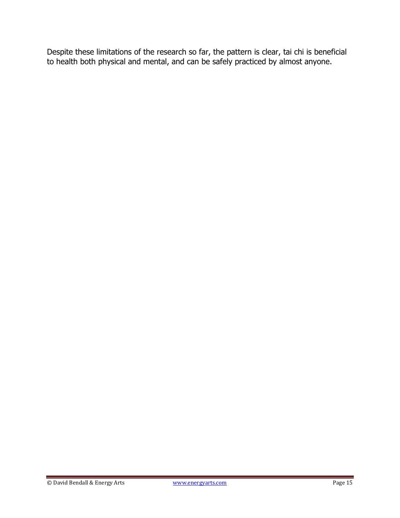Despite these limitations of the research so far, the pattern is clear, tai chi is beneficial to health both physical and mental, and can be safely practiced by almost anyone.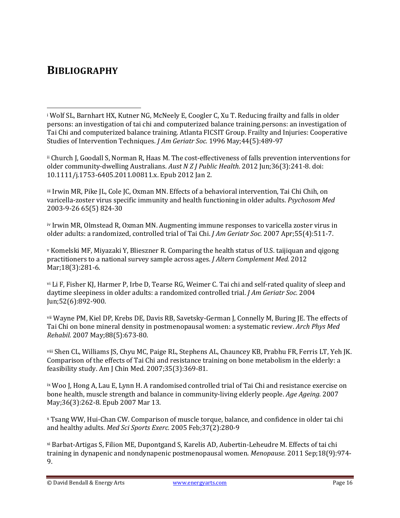## <span id="page-15-0"></span>**BIBLIOGRAPHY**

 $\overline{\phantom{0}}$ 

<sup>i</sup> Wolf SL, Barnhart HX, Kutner NG, McNeely E, Coogler C, Xu T. Reducing frailty and falls in older persons: an investigation of tai chi and computerized balance training.persons: an investigation of Tai Chi and computerized balance training. Atlanta FICSIT Group. Frailty and Injuries: Cooperative Studies of Intervention Techniques. *J Am Geriatr Soc.* 1996 May;44(5):489-97

ii Church J, Goodall S, Norman R, Haas M. The cost-effectiveness of falls prevention interventions for older community-dwelling Australians. *Aust N Z J Public Health*. 2012 Jun;36(3):241-8. doi: 10.1111/j.1753-6405.2011.00811.x. Epub 2012 Jan 2.

iii Irwin MR, Pike JL, Cole JC, Oxman MN. Effects of a behavioral intervention, Tai Chi Chih, on varicella-zoster virus specific immunity and health functioning in older adults. *Psychosom Med* 2003-9-26 65(5) 824-30

iv Irwin MR, Olmstead R, Oxman MN. Augmenting immune responses to varicella zoster virus in older adults: a randomized, controlled trial of Tai Chi. *J Am Geriatr Soc.* 2007 Apr;55(4):511-7.

<sup>v</sup> Komelski MF, Miyazaki Y, Blieszner R. Comparing the health status of U.S. taijiquan and qigong practitioners to a national survey sample across ages. *J Altern Complement Med.* 2012 Mar;18(3):281-6.

vi Li F, Fisher KJ, Harmer P, Irbe D, Tearse RG, Weimer C. Tai chi and self-rated quality of sleep and daytime sleepiness in older adults: a randomized controlled trial. *J Am Geriatr Soc.* 2004 Jun;52(6):892-900.

vii Wayne PM, Kiel DP, Krebs DE, Davis RB, Savetsky-German J, Connelly M, Buring JE. The effects of Tai Chi on bone mineral density in postmenopausal women: a systematic review. *Arch Phys Med Rehabil.* 2007 May;88(5):673-80.

viii Shen CL, Williams JS, Chyu MC, Paige RL, Stephens AL, Chauncey KB, Prabhu FR, Ferris LT, Yeh JK. Comparison of the effects of Tai Chi and resistance training on bone metabolism in the elderly: a feasibility study. Am J Chin Med. 2007;35(3):369-81.

ix Woo J, Hong A, Lau E, Lynn H. A randomised controlled trial of Tai Chi and resistance exercise on bone health, muscle strength and balance in community-living elderly people. *Age Ageing.* 2007 May;36(3):262-8. Epub 2007 Mar 13.

<sup>x</sup> Tsang WW, Hui-Chan CW. Comparison of muscle torque, balance, and confidence in older tai chi and healthy adults. *Med Sci Sports Exerc.* 2005 Feb;37(2):280-9

xi Barbat-Artigas S, Filion ME, Dupontgand S, Karelis AD, Aubertin-Leheudre M. Effects of tai chi training in dynapenic and nondynapenic postmenopausal women. *Menopause.* 2011 Sep;18(9):974- 9.